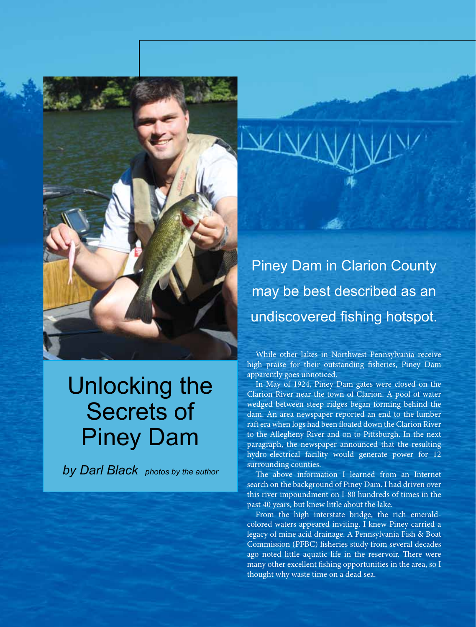

## Unlocking the Secrets of Piney Dam

*by Darl Black photos by the author*

While other lakes in Northwest Pennsylvania receive high praise for their outstanding fisheries, Piney Dam apparently goes unnoticed.

In May of 1924, Piney Dam gates were closed on the Clarion River near the town of Clarion. A pool of water wedged between steep ridges began forming behind the dam. An area newspaper reported an end to the lumber raft era when logs had been floated down the Clarion River to the Allegheny River and on to Pittsburgh. In the next paragraph, the newspaper announced that the resulting hydro-electrical facility would generate power for 12 surrounding counties.

The above information I learned from an Internet search on the background of Piney Dam. I had driven over this river impoundment on I-80 hundreds of times in the past 40 years, but knew little about the lake.

From the high interstate bridge, the rich emeraldcolored waters appeared inviting. I knew Piney carried a legacy of mine acid drainage. A Pennsylvania Fish & Boat Commission (PFBC) fisheries study from several decades ago noted little aquatic life in the reservoir. There were many other excellent fishing opportunities in the area, so I thought why waste time on a dead sea.